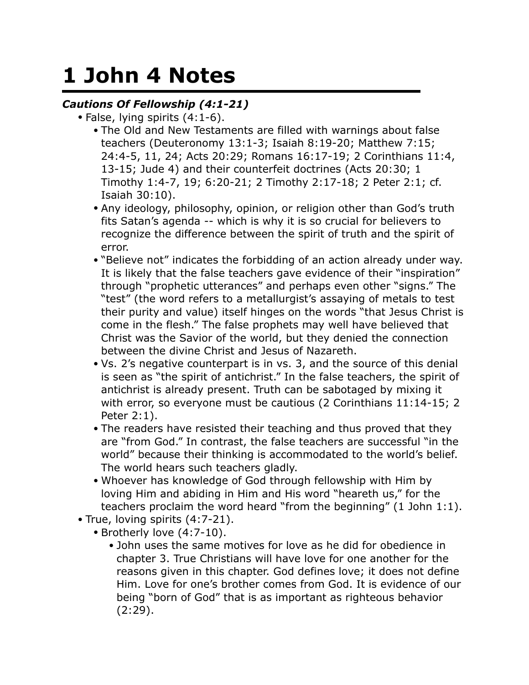## **1 John 4 Notes**

## *Cautions Of Fellowship (4:1-21)*

- False, lying spirits (4:1-6).
	- The Old and New Testaments are filled with warnings about false teachers (Deuteronomy 13:1-3; Isaiah 8:19-20; Matthew 7:15; 24:4-5, 11, 24; Acts 20:29; Romans 16:17-19; 2 Corinthians 11:4, 13-15; Jude 4) and their counterfeit doctrines (Acts 20:30; 1 Timothy 1:4-7, 19; 6:20-21; 2 Timothy 2:17-18; 2 Peter 2:1; cf. Isaiah 30:10).
	- Any ideology, philosophy, opinion, or religion other than God's truth fits Satan's agenda -- which is why it is so crucial for believers to recognize the difference between the spirit of truth and the spirit of error.
	- "Believe not" indicates the forbidding of an action already under way. It is likely that the false teachers gave evidence of their "inspiration" through "prophetic utterances" and perhaps even other "signs." The "test" (the word refers to a metallurgist's assaying of metals to test their purity and value) itself hinges on the words "that Jesus Christ is come in the flesh." The false prophets may well have believed that Christ was the Savior of the world, but they denied the connection between the divine Christ and Jesus of Nazareth.
	- Vs. 2's negative counterpart is in vs. 3, and the source of this denial is seen as "the spirit of antichrist." In the false teachers, the spirit of antichrist is already present. Truth can be sabotaged by mixing it with error, so everyone must be cautious (2 Corinthians 11:14-15; 2 Peter 2:1).
	- The readers have resisted their teaching and thus proved that they are "from God." In contrast, the false teachers are successful "in the world" because their thinking is accommodated to the world's belief. The world hears such teachers gladly.
	- Whoever has knowledge of God through fellowship with Him by loving Him and abiding in Him and His word "heareth us," for the teachers proclaim the word heard "from the beginning" (1 John 1:1).
- True, loving spirits (4:7-21).
	- Brotherly love (4:7-10).
		- John uses the same motives for love as he did for obedience in chapter 3. True Christians will have love for one another for the reasons given in this chapter. God defines love; it does not define Him. Love for one's brother comes from God. It is evidence of our being "born of God" that is as important as righteous behavior  $(2:29).$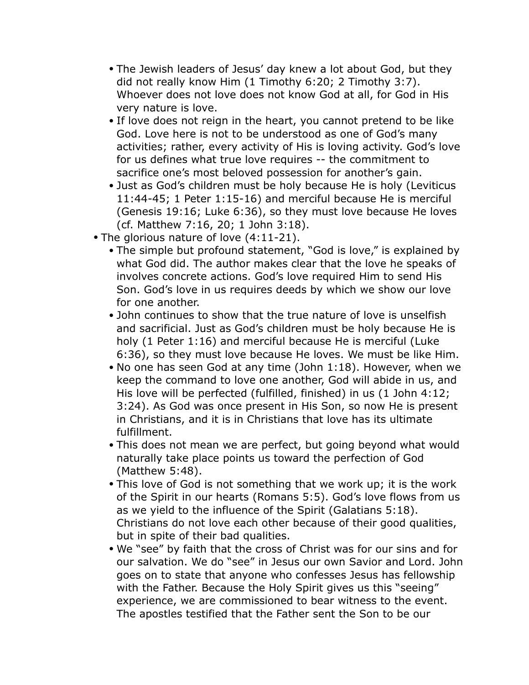- The Jewish leaders of Jesus' day knew a lot about God, but they did not really know Him (1 Timothy 6:20; 2 Timothy 3:7). Whoever does not love does not know God at all, for God in His very nature is love.
- If love does not reign in the heart, you cannot pretend to be like God. Love here is not to be understood as one of God's many activities; rather, every activity of His is loving activity. God's love for us defines what true love requires -- the commitment to sacrifice one's most beloved possession for another's gain.
- Just as God's children must be holy because He is holy (Leviticus 11:44-45; 1 Peter 1:15-16) and merciful because He is merciful (Genesis 19:16; Luke 6:36), so they must love because He loves (cf. Matthew 7:16, 20; 1 John 3:18).
- The glorious nature of love (4:11-21).
	- The simple but profound statement, "God is love," is explained by what God did. The author makes clear that the love he speaks of involves concrete actions. God's love required Him to send His Son. God's love in us requires deeds by which we show our love for one another.
	- John continues to show that the true nature of love is unselfish and sacrificial. Just as God's children must be holy because He is holy (1 Peter 1:16) and merciful because He is merciful (Luke 6:36), so they must love because He loves. We must be like Him.
	- No one has seen God at any time (John 1:18). However, when we keep the command to love one another, God will abide in us, and His love will be perfected (fulfilled, finished) in us (1 John 4:12; 3:24). As God was once present in His Son, so now He is present in Christians, and it is in Christians that love has its ultimate fulfillment.
	- This does not mean we are perfect, but going beyond what would naturally take place points us toward the perfection of God (Matthew 5:48).
	- This love of God is not something that we work up; it is the work of the Spirit in our hearts (Romans 5:5). God's love flows from us as we yield to the influence of the Spirit (Galatians 5:18). Christians do not love each other because of their good qualities, but in spite of their bad qualities.
	- We "see" by faith that the cross of Christ was for our sins and for our salvation. We do "see" in Jesus our own Savior and Lord. John goes on to state that anyone who confesses Jesus has fellowship with the Father. Because the Holy Spirit gives us this "seeing" experience, we are commissioned to bear witness to the event. The apostles testified that the Father sent the Son to be our